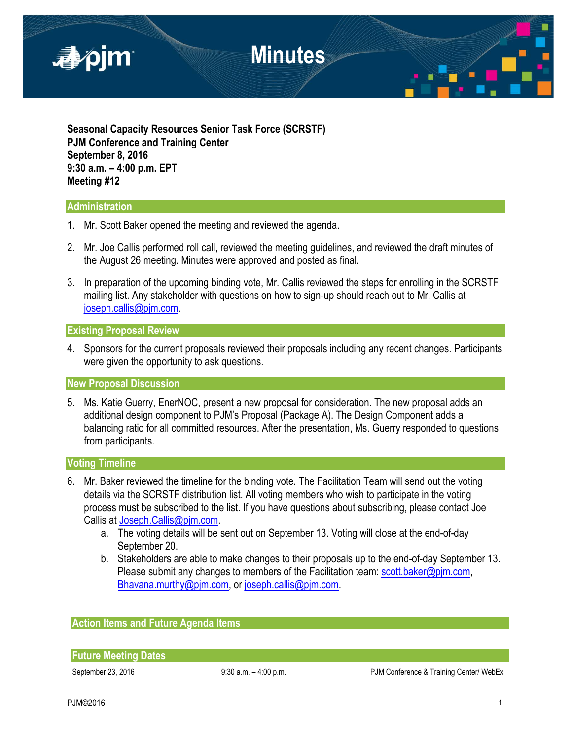

**Seasonal Capacity Resources Senior Task Force (SCRSTF) PJM Conference and Training Center September 8, 2016 9:30 a.m. – 4:00 p.m. EPT Meeting #12**

# **Administration**

- 1. Mr. Scott Baker opened the meeting and reviewed the agenda.
- 2. Mr. Joe Callis performed roll call, reviewed the meeting guidelines, and reviewed the draft minutes of the August 26 meeting. Minutes were approved and posted as final.
- 3. In preparation of the upcoming binding vote, Mr. Callis reviewed the steps for enrolling in the SCRSTF mailing list. Any stakeholder with questions on how to sign-up should reach out to Mr. Callis at [joseph.callis@pjm.com.](mailto:joseph.callis@pjm.com)

#### **Existing Proposal Review**

4. Sponsors for the current proposals reviewed their proposals including any recent changes. Participants were given the opportunity to ask questions.

**New Proposal Discussion**

5. Ms. Katie Guerry, EnerNOC, present a new proposal for consideration. The new proposal adds an additional design component to PJM's Proposal (Package A). The Design Component adds a balancing ratio for all committed resources. After the presentation, Ms. Guerry responded to questions from participants.

# **Voting Timeline**

- 6. Mr. Baker reviewed the timeline for the binding vote. The Facilitation Team will send out the voting details via the SCRSTF distribution list. All voting members who wish to participate in the voting process must be subscribed to the list. If you have questions about subscribing, please contact Joe Callis a[t Joseph.Callis@pjm.com.](mailto:Joseph.Callis@pjm.com)
	- a. The voting details will be sent out on September 13. Voting will close at the end-of-day September 20.
	- b. Stakeholders are able to make changes to their proposals up to the end-of-day September 13. Please submit any changes to members of the Facilitation team: scott.baker@pim.com, [Bhavana.murthy@pjm.com,](mailto:Bhavana.murthy@pjm.com) or [joseph.callis@pjm.com.](mailto:joseph.callis@pjm.com)

#### **Action Items and Future Agenda Items**

**Future Meeting Dates**

September 23, 2016 9:30 a.m. - 4:00 p.m. PJM Conference & Training Center/ WebEx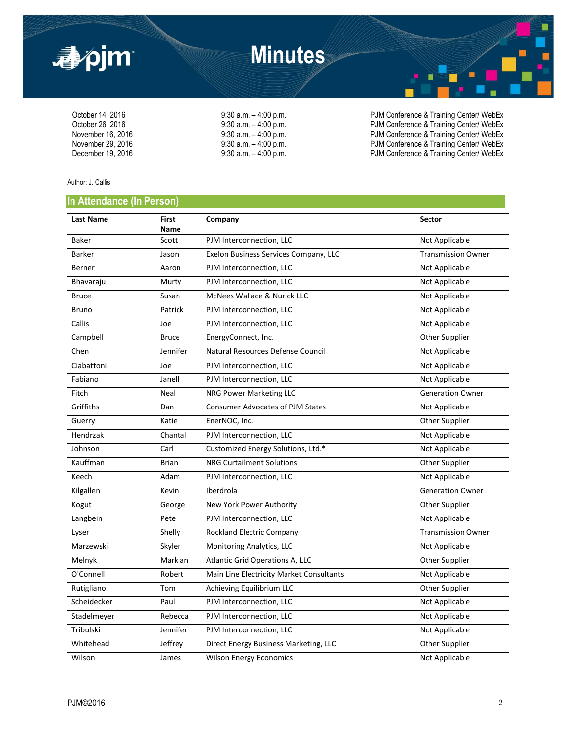

October 14, 2016 <br>October 26, 2016 **9:30 a.m.** – 4:00 p.m. PJM Conference & Training Center/ WebEx<br>PJM Conference & Training Center/ WebEx October 26, 2016 9:30 a.m. – 4:00 p.m.<br>
9:30 a.m. – 4:00 p.m. PJM Conference & Training Center/ WebEx<br>
PJM Conference & Training Center/ WebEx November 16, 2016 9:30 a.m. – 4:00 p.m. PJM Conference & Training Center/ WebEx<br>November 29, 2016 9:30 a.m. – 4:00 p.m. PJM Conference & Training Center/ WebEx November 29, 2016 9:30 a.m. – 4:00 p.m. PJM Conference & Training Center/ WebEx<br>December 19, 2016 9:30 a.m. – 4:00 p.m. PJM Conference & Training Center/ WebEx PJM Conference & Training Center/ WebEx

Author: J. Callis

## **In Attendance (In Person)**

| <b>Last Name</b> | <b>First</b><br><b>Name</b> | Company                                  | Sector                    |
|------------------|-----------------------------|------------------------------------------|---------------------------|
| <b>Baker</b>     | Scott                       | PJM Interconnection, LLC                 | Not Applicable            |
| Barker           | Jason                       | Exelon Business Services Company, LLC    | <b>Transmission Owner</b> |
| Berner           | Aaron                       | PJM Interconnection, LLC                 | Not Applicable            |
| Bhavaraju        | Murty                       | PJM Interconnection, LLC                 | Not Applicable            |
| <b>Bruce</b>     | Susan                       | McNees Wallace & Nurick LLC              | Not Applicable            |
| Bruno            | Patrick                     | PJM Interconnection, LLC                 | Not Applicable            |
| Callis           | Joe                         | PJM Interconnection, LLC                 | Not Applicable            |
| Campbell         | <b>Bruce</b>                | EnergyConnect, Inc.                      | Other Supplier            |
| Chen             | Jennifer                    | Natural Resources Defense Council        | Not Applicable            |
| Ciabattoni       | Joe                         | PJM Interconnection, LLC                 | Not Applicable            |
| Fabiano          | Janell                      | PJM Interconnection, LLC                 | Not Applicable            |
| Fitch            | Neal                        | NRG Power Marketing LLC                  | <b>Generation Owner</b>   |
| Griffiths        | Dan                         | <b>Consumer Advocates of PJM States</b>  | Not Applicable            |
| Guerry           | Katie                       | EnerNOC, Inc.                            | Other Supplier            |
| Hendrzak         | Chantal                     | PJM Interconnection, LLC                 | Not Applicable            |
| Johnson          | Carl                        | Customized Energy Solutions, Ltd.*       | Not Applicable            |
| Kauffman         | <b>Brian</b>                | <b>NRG Curtailment Solutions</b>         | Other Supplier            |
| Keech            | Adam                        | PJM Interconnection, LLC                 | Not Applicable            |
| Kilgallen        | Kevin                       | Iberdrola                                | <b>Generation Owner</b>   |
| Kogut            | George                      | New York Power Authority                 | Other Supplier            |
| Langbein         | Pete                        | PJM Interconnection, LLC                 | Not Applicable            |
| Lyser            | Shelly                      | Rockland Electric Company                | <b>Transmission Owner</b> |
| Marzewski        | Skyler                      | Monitoring Analytics, LLC                | Not Applicable            |
| Melnyk           | Markian                     | Atlantic Grid Operations A, LLC          | Other Supplier            |
| O'Connell        | Robert                      | Main Line Electricity Market Consultants | Not Applicable            |
| Rutigliano       | Tom                         | Achieving Equilibrium LLC                | Other Supplier            |
| Scheidecker      | Paul                        | PJM Interconnection, LLC                 | Not Applicable            |
| Stadelmeyer      | Rebecca                     | PJM Interconnection, LLC                 | Not Applicable            |
| Tribulski        | Jennifer                    | PJM Interconnection, LLC                 | Not Applicable            |
| Whitehead        | Jeffrey                     | Direct Energy Business Marketing, LLC    | Other Supplier            |
| Wilson           | James                       | <b>Wilson Energy Economics</b>           | Not Applicable            |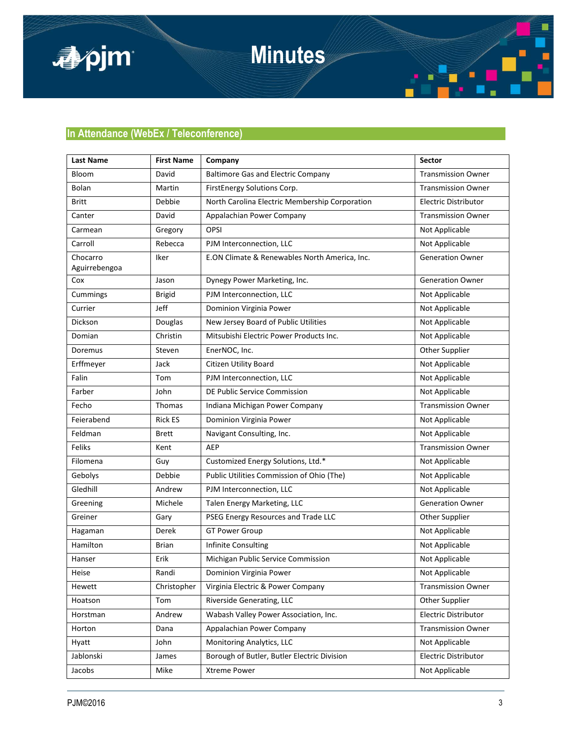

**Minutes**

# **In Attendance (WebEx / Teleconference)**

| <b>Last Name</b>          | <b>First Name</b> | Company                                        | Sector                      |
|---------------------------|-------------------|------------------------------------------------|-----------------------------|
| Bloom                     | David             | <b>Baltimore Gas and Electric Company</b>      | <b>Transmission Owner</b>   |
| Bolan                     | Martin            | FirstEnergy Solutions Corp.                    | <b>Transmission Owner</b>   |
| <b>Britt</b>              | Debbie            | North Carolina Electric Membership Corporation | <b>Electric Distributor</b> |
| Canter                    | David             | Appalachian Power Company                      | <b>Transmission Owner</b>   |
| Carmean                   | Gregory           | OPSI                                           | Not Applicable              |
| Carroll                   | Rebecca           | PJM Interconnection, LLC                       | Not Applicable              |
| Chocarro<br>Aguirrebengoa | Iker              | E.ON Climate & Renewables North America, Inc.  | <b>Generation Owner</b>     |
| Cox                       | Jason             | Dynegy Power Marketing, Inc.                   | <b>Generation Owner</b>     |
| Cummings                  | <b>Brigid</b>     | PJM Interconnection, LLC                       | Not Applicable              |
| Currier                   | Jeff              | Dominion Virginia Power                        | Not Applicable              |
| Dickson                   | Douglas           | New Jersey Board of Public Utilities           | Not Applicable              |
| Domian                    | Christin          | Mitsubishi Electric Power Products Inc.        | Not Applicable              |
| Doremus                   | Steven            | EnerNOC, Inc.                                  | Other Supplier              |
| Erffmeyer                 | Jack              | Citizen Utility Board                          | Not Applicable              |
| Falin                     | Tom               | PJM Interconnection, LLC                       | Not Applicable              |
| Farber                    | John              | DE Public Service Commission                   | Not Applicable              |
| Fecho                     | Thomas            | Indiana Michigan Power Company                 | <b>Transmission Owner</b>   |
| Feierabend                | <b>Rick ES</b>    | Dominion Virginia Power                        | Not Applicable              |
| Feldman                   | <b>Brett</b>      | Navigant Consulting, Inc.                      | Not Applicable              |
| Feliks                    | Kent              | <b>AEP</b>                                     | <b>Transmission Owner</b>   |
| Filomena                  | Guy               | Customized Energy Solutions, Ltd.*             | Not Applicable              |
| Gebolys                   | Debbie            | Public Utilities Commission of Ohio (The)      | Not Applicable              |
| Gledhill                  | Andrew            | PJM Interconnection, LLC                       | Not Applicable              |
| Greening                  | Michele           | Talen Energy Marketing, LLC                    | <b>Generation Owner</b>     |
| Greiner                   | Gary              | PSEG Energy Resources and Trade LLC            | Other Supplier              |
| Hagaman                   | <b>Derek</b>      | <b>GT Power Group</b>                          | Not Applicable              |
| Hamilton                  | <b>Brian</b>      | <b>Infinite Consulting</b>                     | Not Applicable              |
| Hanser                    | Erik              | Michigan Public Service Commission             | Not Applicable              |
| Heise                     | Randi             | Dominion Virginia Power                        | Not Applicable              |
| Hewett                    | Christopher       | Virginia Electric & Power Company              | <b>Transmission Owner</b>   |
| Hoatson                   | Tom               | Riverside Generating, LLC                      | Other Supplier              |
| Horstman                  | Andrew            | Wabash Valley Power Association, Inc.          | Electric Distributor        |
| Horton                    | Dana              | Appalachian Power Company                      | <b>Transmission Owner</b>   |
| Hyatt                     | John              | <b>Monitoring Analytics, LLC</b>               | Not Applicable              |
| Jablonski                 | James             | Borough of Butler, Butler Electric Division    | Electric Distributor        |
| Jacobs                    | Mike              | <b>Xtreme Power</b>                            | Not Applicable              |

Ē

۰